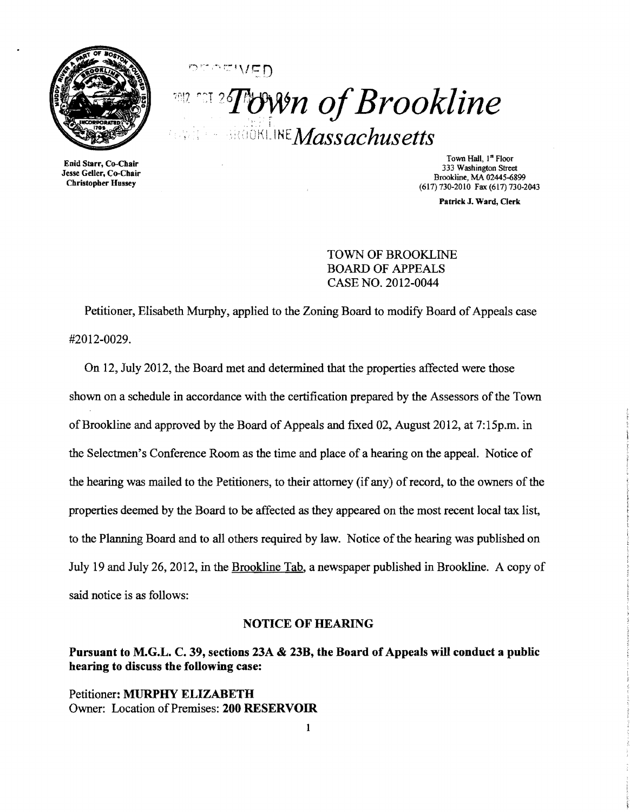

**ACWED** *TROWIN of Brookline aköökLINE Massachusetts* 

Enid Starr, Co-Chair Jesse Geller. Co-Chair Christopber Hussey

Town Hall, 1st Floor 333 Washington Street Brookline, MA 02445-6899 (617) 730-2010 Fax (617) 730-2043

Patrick J. Ward, Clerk

## TOWN OF BROOKLINE BOARD OF APPEALS CASE NO. 2012-0044

Petitioner, Elisabeth Murphy, applied to the Zoning Board to modify Board of Appeals case #2012-0029.

On 12, July 2012, the Board met and determined that the properties affected were those shown on a schedule in accordance with the certification prepared by the Assessors of the Town of Brookline and approved by the Board of Appeals and fixed 02, August 2012, at  $7:15$ p.m. in the Selectmen's Conference Room as the time and place of a hearing on the appeal. Notice of the hearing was mailed to the Petitioners, to their attorney (if any) of record, to the owners of the properties deemed by the Board to be affected as they appeared on the most recent local tax list, to the Planning Board and to all others required by law. Notice of the hearing was published on July 19 and July 26,2012, in the Brookline Tab, a newspaper published in Brookline. A copy of said notice is as follows:

### NOTICE OF HEARING

# Pursuant to M.G.L. C. 39, sections 23A & 23B, the Board of Appeals will conduct a public hearing to discuss the following case:

Petitioner: MURPHY ELIZABETH Owner: Location of Premises: 200 RESERVOIR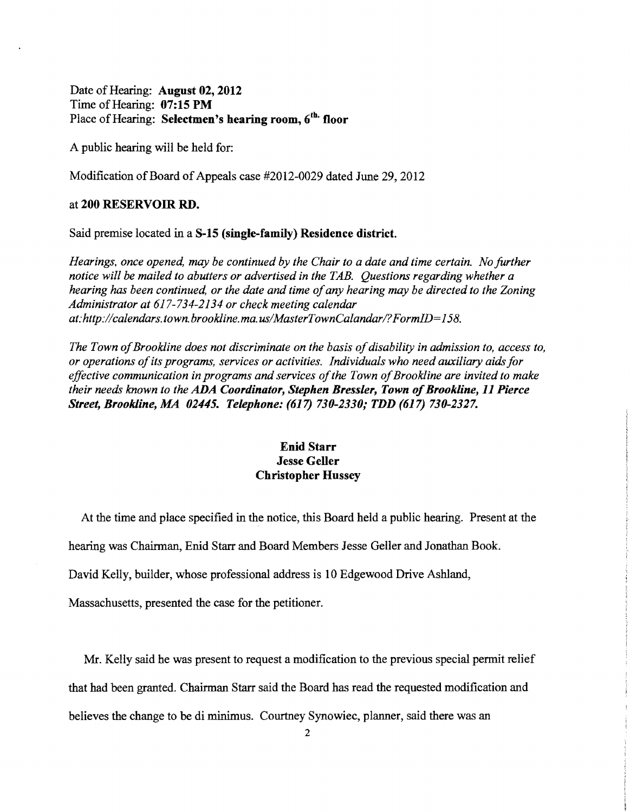Date of Hearing: August 02, 2012 Time of Hearing:  $07:15$  PM Place of Hearing: Selectmen's hearing room,  $6<sup>th</sup>$  floor

A public hearing will be held for:

Modification of Board of Appeals case #2012-0029 dated June 29, 2012

### at 200 RESERVOIR RD.

Said premise located in a S-15 (single-family) Residence district.

*Hearings, once opened, may be continued by the Chair to a date and time certain. No further notice will be mailed to abutters or advertised in the TAB. Questions regarding whether a hearing has been continued, or the date and time of any hearing may be directed to the Zoning Administrator at* 617-734-2134 *or check meeting calendar at:http://calendars.town.brookline.ma.usIMasterTownCalandarI?FormID=158.* 

The Town of Brookline does not discriminate on the basis of disability in admission to, access to, *or operations ofits programs, services or activities. Individuals who need auxiliary aids for*  effective communication in programs and services of the Town of Brookline are invited to make *their needs known to the ADA Coordinator, Stephen Bressler, Town of Brookline, 11 Pierce Street, Brookline,.MA 02445. Telephone:* (617) *730-2330; TDD* (617) *730-2327.* 

## Enid Starr Jesse Geller Christopher Hussey

At the time and place specified in the notice, this Board held a public hearing. Present at the

hearing was Chairman, Enid Starr and Board Members Jesse Geller and Jonathan Book.

David Kelly, builder, whose professional address is 10 Edgewood Drive Ashland,

Massachusetts, presented the case for the petitioner.

Mr. Kelly said he was present to request a modification to the previous special permit relief that had been granted. Chairman Starr said the Board has read the requested modification and believes the change to be di minimus. Courtney Synowiec, planner, said there was an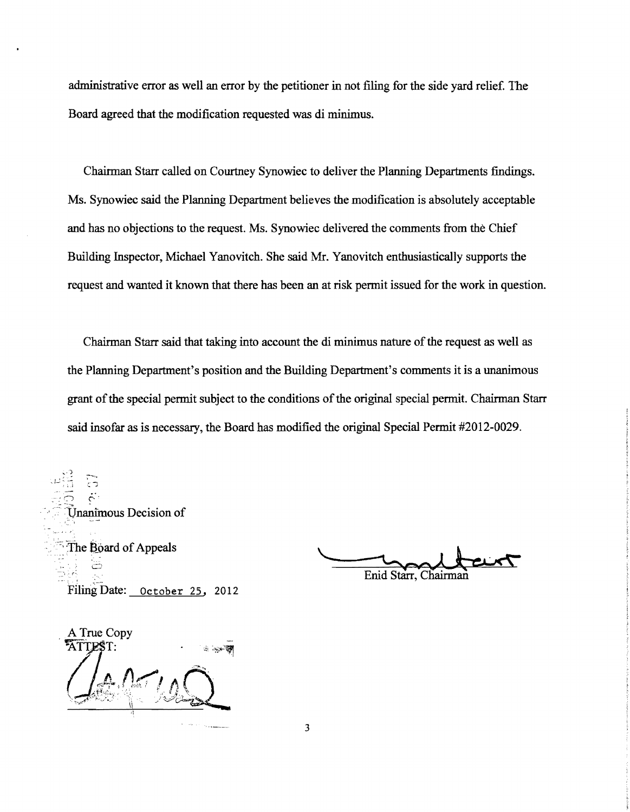administrative error as well an error by the petitioner in not filing for the side yard relief. The Board agreed that the modification requested was di minimus.

Chairman Starr called on Courtney Synowiec to deliver the Planning Departments findings. Ms. Synowiec said the Planning Department believes the modification is absolutely acceptable and has no objections to the request. Ms. Synowiec delivered the comments from the Chief Building Inspector, Michael Yanovitch. She said Mr. Yanovitch enthusiastically supports the request and wanted it known that there has been an at risk permit issued for the work in question.

Chairman Starr said that taking into account the di minimus nature of the request as well as the Planning Department's position and the Building Department's comments it is a unanimous grant of the special permit subject to the conditions of the original special permit. Chairman Starr said insofar as is necessary, the Board has modified the original Special Permit #2012-0029 .

Inanimous Decision of The Board of Appeals The Board of Appeals<br>
Enid Starr, Chairman<br>
Filing Date: <u>October 25</u>, 2012

A True Copy